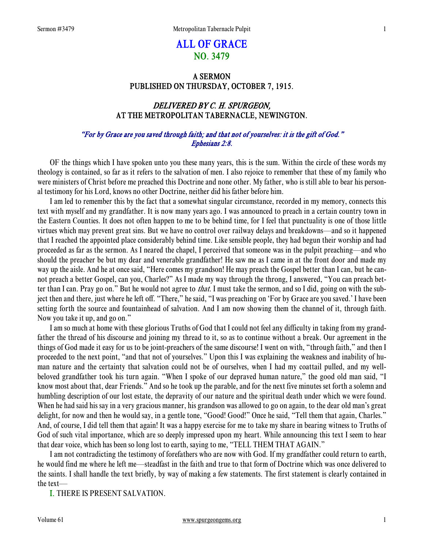# ALL OF GRACE NO. 3479

# A SERMON PUBLISHED ON THURSDAY, OCTOBER 7, 1915.

# DELIVERED BY C. H. SPURGEON, AT THE METROPOLITAN TABERNACLE, NEWINGTON.

### "For by Grace are you saved through faith; and that not of yourselves: it is the gift of God." Ephesians 2:8.

 OF the things which I have spoken unto you these many years, this is the sum. Within the circle of these words my theology is contained, so far as it refers to the salvation of men. I also rejoice to remember that these of my family who were ministers of Christ before me preached this Doctrine and none other. My father, who is still able to bear his personal testimony for his Lord, knows no other Doctrine, neither did his father before him.

 I am led to remember this by the fact that a somewhat singular circumstance, recorded in my memory, connects this text with myself and my grandfather. It is now many years ago. I was announced to preach in a certain country town in the Eastern Counties. It does not often happen to me to be behind time, for I feel that punctuality is one of those little virtues which may prevent great sins. But we have no control over railway delays and breakdowns—and so it happened that I reached the appointed place considerably behind time. Like sensible people, they had begun their worship and had proceeded as far as the sermon. As I neared the chapel, I perceived that someone was in the pulpit preaching—and who should the preacher be but my dear and venerable grandfather! He saw me as I came in at the front door and made my way up the aisle. And he at once said, "Here comes my grandson! He may preach the Gospel better than I can, but he cannot preach a better Gospel, can you, Charles?" As I made my way through the throng, I answered, "You can preach better than I can. Pray go on." But he would not agree to that. I must take the sermon, and so I did, going on with the subject then and there, just where he left off. "There," he said, "I was preaching on 'For by Grace are you saved.' I have been setting forth the source and fountainhead of salvation. And I am now showing them the channel of it, through faith. Now you take it up, and go on."

 I am so much at home with these glorious Truths of God that I could not feel any difficulty in taking from my grandfather the thread of his discourse and joining my thread to it, so as to continue without a break. Our agreement in the things of God made it easy for us to be joint-preachers of the same discourse! I went on with, "through faith," and then I proceeded to the next point, "and that not of yourselves." Upon this I was explaining the weakness and inability of human nature and the certainty that salvation could not be of ourselves, when I had my coattail pulled, and my wellbeloved grandfather took his turn again. "When I spoke of our depraved human nature," the good old man said, "I know most about that, dear Friends." And so he took up the parable, and for the next five minutes set forth a solemn and humbling description of our lost estate, the depravity of our nature and the spiritual death under which we were found. When he had said his say in a very gracious manner, his grandson was allowed to go on again, to the dear old man's great delight, for now and then he would say, in a gentle tone, "Good! Good!" Once he said, "Tell them that again, Charles." And, of course, I did tell them that again! It was a happy exercise for me to take my share in bearing witness to Truths of God of such vital importance, which are so deeply impressed upon my heart. While announcing this text I seem to hear that dear voice, which has been so long lost to earth, saying to me, "TELL THEM THAT AGAIN."

 I am not contradicting the testimony of forefathers who are now with God. If my grandfather could return to earth, he would find me where he left me—steadfast in the faith and true to that form of Doctrine which was once delivered to the saints. I shall handle the text briefly, by way of making a few statements. The first statement is clearly contained in the text—

I. THERE IS PRESENT SALVATION.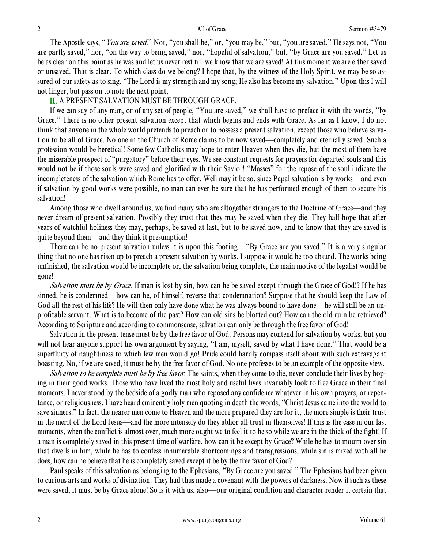The Apostle says, "*You are saved.*" Not, "you shall be," or, "you may be," but, "you are saved." He says not, "You are partly saved," nor, "on the way to being saved," nor, "hopeful of salvation," but, "by Grace are you saved." Let us be as clear on this point as he was and let us never rest till we know that we are saved! At this moment we are either saved or unsaved. That is clear. To which class do we belong? I hope that, by the witness of the Holy Spirit, we may be so assured of our safety as to sing, "The Lord is my strength and my song; He also has become my salvation." Upon this I will not linger, but pass on to note the next point.

### II. A PRESENT SALVATION MUST BE THROUGH GRACE.

 If we can say of any man, or of any set of people, "You are saved," we shall have to preface it with the words, "by Grace." There is no other present salvation except that which begins and ends with Grace. As far as I know, I do not think that anyone in the whole world pretends to preach or to possess a present salvation, except those who believe salvation to be all of Grace. No one in the Church of Rome claims to be now saved—completely and eternally saved. Such a profession would be heretical! Some few Catholics may hope to enter Heaven when they die, but the most of them have the miserable prospect of "purgatory" before their eyes. We see constant requests for prayers for departed souls and this would not be if those souls were saved and glorified with their Savior! "Masses" for the repose of the soul indicate the incompleteness of the salvation which Rome has to offer. Well may it be so, since Papal salvation is by works—and even if salvation by good works were possible, no man can ever be sure that he has performed enough of them to secure his salvation!

 Among those who dwell around us, we find many who are altogether strangers to the Doctrine of Grace—and they never dream of present salvation. Possibly they trust that they may be saved when they die. They half hope that after years of watchful holiness they may, perhaps, be saved at last, but to be saved now, and to know that they are saved is quite beyond them—and they think it presumption!

 There can be no present salvation unless it is upon this footing—"By Grace are you saved." It is a very singular thing that no one has risen up to preach a present salvation by works. I suppose it would be too absurd. The works being unfinished, the salvation would be incomplete or, the salvation being complete, the main motive of the legalist would be gone!

Salvation must be by Grace. If man is lost by sin, how can he be saved except through the Grace of God!? If he has sinned, he is condemned—how can he, of himself, reverse that condemnation? Suppose that he should keep the Law of God all the rest of his life? He will then only have done what he was always bound to have done—he will still be an unprofitable servant. What is to become of the past? How can old sins be blotted out? How can the old ruin be retrieved? According to Scripture and according to commonsense, salvation can only be through the free favor of God!

 Salvation in the present tense must be by the free favor of God. Persons may contend for salvation by works, but you will not hear anyone support his own argument by saying, "I am, myself, saved by what I have done." That would be a superfluity of naughtiness to which few men would go! Pride could hardly compass itself about with such extravagant boasting. No, if we are saved, it must be by the free favor of God. No one professes to be an example of the opposite view.

Salvation to be complete must be by free favor. The saints, when they come to die, never conclude their lives by hoping in their good works. Those who have lived the most holy and useful lives invariably look to free Grace in their final moments. I never stood by the bedside of a godly man who reposed any confidence whatever in his own prayers, or repentance, or religiousness. I have heard eminently holy men quoting in death the words, "Christ Jesus came into the world to save sinners." In fact, the nearer men come to Heaven and the more prepared they are for it, the more simple is their trust in the merit of the Lord Jesus—and the more intensely do they abhor all trust in themselves! If this is the case in our last moments, when the conflict is almost over, much more ought we to feel it to be so while we are in the thick of the fight! If a man is completely saved in this present time of warfare, how can it be except by Grace? While he has to mourn over sin that dwells in him, while he has to confess innumerable shortcomings and transgressions, while sin is mixed with all he does, how can he believe that he is completely saved except it be by the free favor of God?

 Paul speaks of this salvation as belonging to the Ephesians, "By Grace are you saved." The Ephesians had been given to curious arts and works of divination. They had thus made a covenant with the powers of darkness. Now if such as these were saved, it must be by Grace alone! So is it with us, also—our original condition and character render it certain that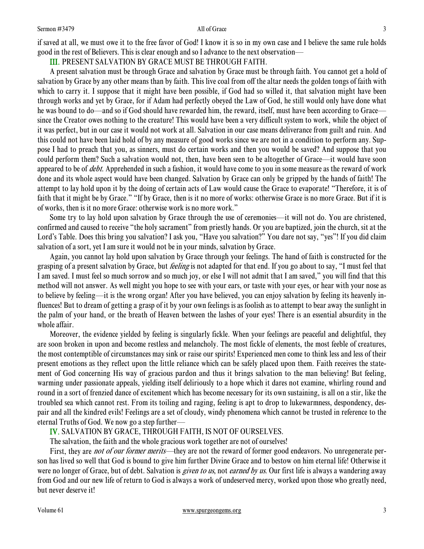if saved at all, we must owe it to the free favor of God! I know it is so in my own case and I believe the same rule holds good in the rest of Believers. This is clear enough and so I advance to the next observation—

## III. PRESENT SALVATION BY GRACE MUST BE THROUGH FAITH.

 A present salvation must be through Grace and salvation by Grace must be through faith. You cannot get a hold of salvation by Grace by any other means than by faith. This live coal from off the altar needs the golden tongs of faith with which to carry it. I suppose that it might have been possible, if God had so willed it, that salvation might have been through works and yet by Grace, for if Adam had perfectly obeyed the Law of God, he still would only have done what he was bound to do—and so if God should have rewarded him, the reward, itself, must have been according to Grace since the Creator owes nothing to the creature! This would have been a very difficult system to work, while the object of it was perfect, but in our case it would not work at all. Salvation in our case means deliverance from guilt and ruin. And this could not have been laid hold of by any measure of good works since we are not in a condition to perform any. Suppose I had to preach that you, as sinners, must do certain works and then you would be saved? And suppose that you could perform them? Such a salvation would not, then, have been seen to be altogether of Grace—it would have soon appeared to be of *debt*. Apprehended in such a fashion, it would have come to you in some measure as the reward of work done and its whole aspect would have been changed. Salvation by Grace can only be gripped by the hands of faith! The attempt to lay hold upon it by the doing of certain acts of Law would cause the Grace to evaporate! "Therefore, it is of faith that it might be by Grace." "If by Grace, then is it no more of works: otherwise Grace is no more Grace. But if it is of works, then is it no more Grace: otherwise work is no more work."

 Some try to lay hold upon salvation by Grace through the use of ceremonies—it will not do. You are christened, confirmed and caused to receive "the holy sacrament" from priestly hands. Or you are baptized, join the church, sit at the Lord's Table. Does this bring you salvation? I ask you, "Have you salvation?" You dare not say, "yes"! If you did claim salvation of a sort, yet I am sure it would not be in your minds, salvation by Grace.

 Again, you cannot lay hold upon salvation by Grace through your feelings. The hand of faith is constructed for the grasping of a present salvation by Grace, but *feeling* is not adapted for that end. If you go about to say, "I must feel that I am saved. I must feel so much sorrow and so much joy, or else I will not admit that I am saved," you will find that this method will not answer. As well might you hope to see with your ears, or taste with your eyes, or hear with your nose as to believe by feeling—it is the wrong organ! After you have believed, you can enjoy salvation by feeling its heavenly influences! But to dream of getting a grasp of it by your own feelings is as foolish as to attempt to bear away the sunlight in the palm of your hand, or the breath of Heaven between the lashes of your eyes! There is an essential absurdity in the whole affair.

 Moreover, the evidence yielded by feeling is singularly fickle. When your feelings are peaceful and delightful, they are soon broken in upon and become restless and melancholy. The most fickle of elements, the most feeble of creatures, the most contemptible of circumstances may sink or raise our spirits! Experienced men come to think less and less of their present emotions as they reflect upon the little reliance which can be safely placed upon them. Faith receives the statement of God concerning His way of gracious pardon and thus it brings salvation to the man believing! But feeling, warming under passionate appeals, yielding itself deliriously to a hope which it dares not examine, whirling round and round in a sort of frenzied dance of excitement which has become necessary for its own sustaining, is all on a stir, like the troubled sea which cannot rest. From its toiling and raging, feeling is apt to drop to lukewarmness, despondency, despair and all the kindred evils! Feelings are a set of cloudy, windy phenomena which cannot be trusted in reference to the eternal Truths of God. We now go a step further—

# IV. SALVATION BY GRACE, THROUGH FAITH, IS NOT OF OURSELVES.

The salvation, the faith and the whole gracious work together are not of ourselves!

First, they are *not of our former merits*—they are not the reward of former good endeavors. No unregenerate person has lived so well that God is bound to give him further Divine Grace and to bestow on him eternal life! Otherwise it were no longer of Grace, but of debt. Salvation is *given to us*, not *earned by us*. Our first life is always a wandering away from God and our new life of return to God is always a work of undeserved mercy, worked upon those who greatly need, but never deserve it!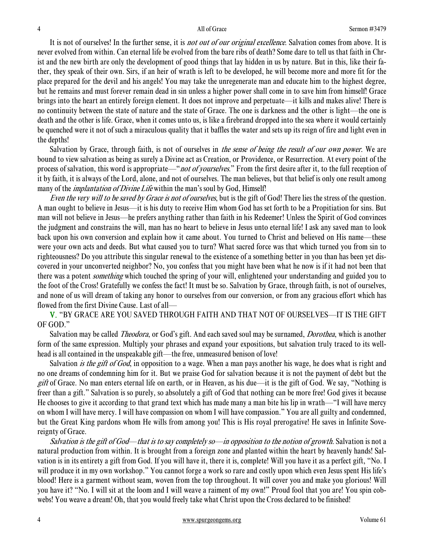It is not of ourselves! In the further sense, it is *not out of our original excellence*. Salvation comes from above. It is never evolved from within. Can eternal life be evolved from the bare ribs of death? Some dare to tell us that faith in Christ and the new birth are only the development of good things that lay hidden in us by nature. But in this, like their father, they speak of their own. Sirs, if an heir of wrath is left to be developed, he will become more and more fit for the place prepared for the devil and his angels! You may take the unregenerate man and educate him to the highest degree, but he remains and must forever remain dead in sin unless a higher power shall come in to save him from himself! Grace brings into the heart an entirely foreign element. It does not improve and perpetuate—it kills and makes alive! There is no continuity between the state of nature and the state of Grace. The one is darkness and the other is light—the one is death and the other is life. Grace, when it comes unto us, is like a firebrand dropped into the sea where it would certainly be quenched were it not of such a miraculous quality that it baffles the water and sets up its reign of fire and light even in the depths!

Salvation by Grace, through faith, is not of ourselves in *the sense of being the result of our own power*. We are bound to view salvation as being as surely a Divine act as Creation, or Providence, or Resurrection. At every point of the process of salvation, this word is appropriate—"not of yourselves." From the first desire after it, to the full reception of it by faith, it is always of the Lord, alone, and not of ourselves. The man believes, but that belief is only one result among many of the *implantation of Divine Life* within the man's soul by God, Himself!

Even the very will to be saved by Grace is not of ourselves, but is the gift of God! There lies the stress of the question. A man ought to believe in Jesus—it is his duty to receive Him whom God has set forth to be a Propitiation for sins. But man will not believe in Jesus—he prefers anything rather than faith in his Redeemer! Unless the Spirit of God convinces the judgment and constrains the will, man has no heart to believe in Jesus unto eternal life! I ask any saved man to look back upon his own conversion and explain how it came about. You turned to Christ and believed on His name—these were your own acts and deeds. But what caused you to turn? What sacred force was that which turned you from sin to righteousness? Do you attribute this singular renewal to the existence of a something better in you than has been yet discovered in your unconverted neighbor? No, you confess that you might have been what he now is if it had not been that there was a potent *something* which touched the spring of your will, enlightened your understanding and guided you to the foot of the Cross! Gratefully we confess the fact! It must be so. Salvation by Grace, through faith, is not of ourselves, and none of us will dream of taking any honor to ourselves from our conversion, or from any gracious effort which has flowed from the first Divine Cause. Last of all—

V. "BY GRACE ARE YOU SAVED THROUGH FAITH AND THAT NOT OF OURSELVES—IT IS THE GIFT OF GOD."

Salvation may be called *Theodora*, or God's gift. And each saved soul may be surnamed, *Dorothea*, which is another form of the same expression. Multiply your phrases and expand your expositions, but salvation truly traced to its wellhead is all contained in the unspeakable gift—the free, unmeasured benison of love!

Salvation *is the gift of God*, in opposition to a wage. When a man pays another his wage, he does what is right and no one dreams of condemning him for it. But we praise God for salvation because it is not the payment of debt but the gift of Grace. No man enters eternal life on earth, or in Heaven, as his due—it is the gift of God. We say, "Nothing is freer than a gift." Salvation is so purely, so absolutely a gift of God that nothing can be more free! God gives it because He chooses to give it according to that grand text which has made many a man bite his lip in wrath—"I will have mercy on whom I will have mercy. I will have compassion on whom I will have compassion." You are all guilty and condemned, but the Great King pardons whom He wills from among you! This is His royal prerogative! He saves in Infinite Sovereignty of Grace.

Salvation is the gift of God—that is to say completely so—in opposition to the notion of growth. Salvation is not a natural production from within. It is brought from a foreign zone and planted within the heart by heavenly hands! Salvation is in its entirety a gift from God. If you will have it, there it is, complete! Will you have it as a perfect gift, "No. I will produce it in my own workshop." You cannot forge a work so rare and costly upon which even Jesus spent His life's blood! Here is a garment without seam, woven from the top throughout. It will cover you and make you glorious! Will you have it? "No. I will sit at the loom and I will weave a raiment of my own!" Proud fool that you are! You spin cobwebs! You weave a dream! Oh, that you would freely take what Christ upon the Cross declared to be finished!